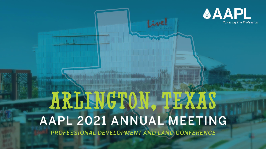

## ARLINGTON, TEXAS AAPL 2021 ANNUAL MEETING PROFESSIONAL DEVELOPMENT AND LAND CONFERENCE

Live!

אוווח גידף יוא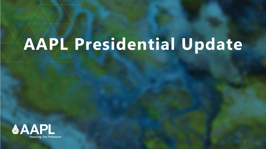# **AAPL Presidential Update**

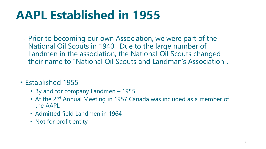## **AAPL Established in 1955**

- Prior to becoming our own Association, we were part of the National Oil Scouts in 1940. Due to the large number of Landmen in the association, the National Oil Scouts changed their name to "National Oil Scouts and Landman's Association".
- Established 1955
	- By and for company Landmen 1955
	- At the 2<sup>nd</sup> Annual Meeting in 1957 Canada was included as a member of the AAPL
	- Admitted field Landmen in 1964
	- Not for profit entity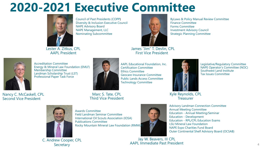### **2020-2021 Executive Committee**



Council of Past Presidents (COPP) Diversity & Inclusion Executive Council NAPE Advisory Board NAPE Management, LLC Nominating Subcommittee

Lester A. Zitkus, CPL AAPL President



Accreditation Committee Energy & Mineral Law Foundation (EMLF) Membership Committee Landman Scholarship Trust (LST) Professional Paper Task Force

Nancy C. McCaskell, CPL Second Vice President



Marc S. Tate, CPL Technology Committee

Third Vice President

Awards Committee Field Landman Seminar Committee

International Oil Scouts Association (IOSA) Publications Committee Rocky Mountain Mineral Law Foundation (RMML



AAPL Educational Foundation, Inc.

James "Jim" T. Devlin, CPL First Vice President

Geocare Insurance Committee Public Lands Access Committee

Certification Committee

Ethics Committee

Advisory Landman Connection Committee Annual Meeting Committee Education - Annual Meeting/Seminar Education - Development Education - RPL/CPL Education Exams LSU Mineral Law Foundation NAPE Expo Charities Fund Board Outer Continental Shelf Advisory Board (OCSAB)

C. Andrew Cooper, CPL **Secretary** 

Jay W. Beavers, III CPL AAPL Immediate Past President

ByLaws & Policy Manual Review Committee Finance Committee Forms Committee Investment Advisory Council Strategic Planning Committee

> Legislative/Regulatory Committee NAPE Operator's Committee (NOC) Southwest Land Institute Tax Issues Committee

Kyle Reynolds, CPL **Treasurer** 

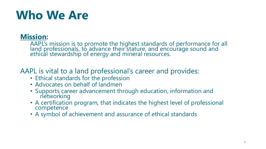## **Who We Are**

### **Mission:**

AAPL's mission is to promote the highest standards of performance for all land professionals, to advance their stature, and encourage sound and ethical stewardship of energy and mineral resources.

AAPL is vital to a land professional's career and provides:

- Ethical standards for the profession
- Advocates on behalf of landmen
- Supports career advancement through education, information and networking
- A certification program, that indicates the highest level of professional competence
- A symbol of achievement and assurance of ethical standards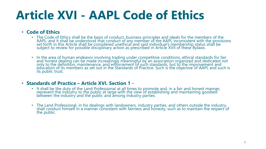## **Article XVI - AAPL Code of Ethics**

#### • **Code of Ethics**

- The Code of Ethics shall be the basis of conduct, business principles and ideals for the members of the AAPL; and it shall be understood that conduct of any member of the AAPL inconsistent with the provisions set forth in this Article shall be considered unethical and said individual's membership status shall be subject to review for possible disciplinary action as prescribed in Article XVII of these Bylaws.
- In the area of human endeavor involving trading under competitive conditions, ethical standards for fair and honest dealing can be made increasingly meaningful by an association organized and dedicated not only to the definition, maintenance, and enforcement of such standards, but to the improvement and education of its members as set out in the Standards of Practice. Such is the objective of AAPL and such is its public trust.

#### • **Standards of Practice – Article XVI. Section 1 -**

- It shall be the duty of the Land Professional at all times to promote and, in a fair and honest manner, represent the industry to the public at large with the view of establishing and maintaining goodwill between the industry and the public and among industry parties.
- The Land Professional, in his dealings with landowners, industry parties, and others outside the industry, shall conduct himself in a manner consistent with fairness and honesty, such as to maintain the respect of the public.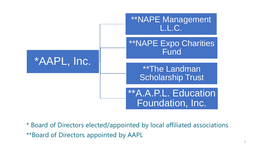

\* Board of Directors elected/appointed by local affiliated associations \*\*Board of Directors appointed by AAPL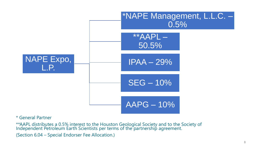

#### \* General Partner

\*\*AAPL distributes a 0.5% interest to the Houston Geological Society and to the Society of Independent Petroleum Earth Scientists per terms of the partnership agreement. (Section 6.04 – Special Endorser Fee Allocation.)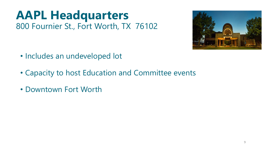### **AAPL Headquarters** 800 Fournier St., Fort Worth, TX 76102



- Includes an undeveloped lot
- Capacity to host Education and Committee events
- Downtown Fort Worth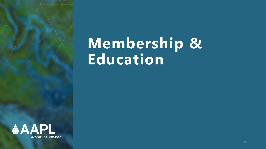## **Membership & Education**

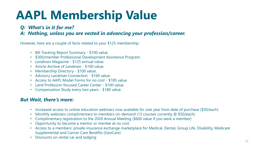## **AAPL Membership Value**

#### *Q: What's in it for me?*

#### *A: Nothing, unless you are vested in advancing your profession/career.*

However, here are a couple of facts related to your \$125 membership:

- Bill Tracking Report Summary \$100 value.
- \$300/member Professional Development Assistance Program.
- *Landman* Magazine \$125 annual value.
- Article Archive of *Landman*  \$100 value.
- Membership Directory \$100 value.
- Advisory Landman Connection \$160 value.
- Access to AAPL Model Forms for no cost \$185 value.
- Land Profession focused Career Center \$100 value.
- Compensation Study every two years \$180 value.

#### *But Wait, there's more:*

- Increased access to online education webinars now available for one year from date of purchase (\$50/each)
- Monthly webinars complimentary to members on-demand (13 courses currently @ \$50/each)
- Complimentary registration to the 2020 Annual Meeting (\$600 value if you were a member)
- Opportunity to become a mentor or mentee at no cost.
- Access to a members' private insurance exchange marketplace for Medical, Dental, Group Life, Disability, Medicare Supplemental and Cancer Care Benefits (GeoCare)
- Discounts on rental car and lodging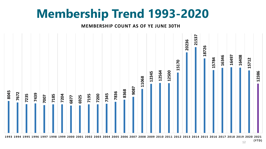### **Membership Trend 1993-2020**

#### **MEMBERSHIP COUNT AS OF YE JUNE 30TH**



 **(YT D)**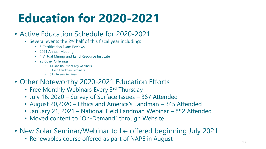## **Education for 2020-2021**

### • Active Education Schedule for 2020-2021

- Several events the 2<sup>nd</sup> half of this fiscal year including:
	- 5 Certification Exam Reviews
	- 2021 Annual Meeting
	- 1 Virtual Mining and Land Resource Institute
	- 23 other Offerings:
		- 14 One hour specialty webinars
		- 3 Field Landman Seminars
		- 6 In Person Seminars
- Other Noteworthy 2020-2021 Education Efforts
	- Free Monthly Webinars Every 3rd Thursday
	- July 16, 2020 Survey of Surface Issues 367 Attended
	- August 20,2020 Ethics and America's Landman 345 Attended
	- January 21, 2021 National Field Landman Webinar 852 Attended
	- Moved content to "On-Demand" through Website
- New Solar Seminar/Webinar to be offered beginning July 2021
	- Renewables course offered as part of NAPE in August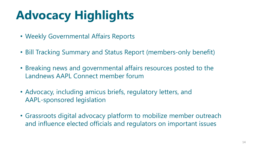## **Advocacy Highlights**

- Weekly Governmental Affairs Reports
- Bill Tracking Summary and Status Report (members-only benefit)
- Breaking news and governmental affairs resources posted to the Landnews AAPL Connect member forum
- Advocacy, including amicus briefs, regulatory letters, and AAPL-sponsored legislation
- Grassroots digital advocacy platform to mobilize member outreach and influence elected officials and regulators on important issues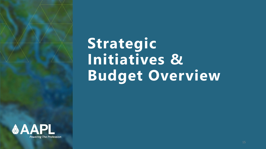

# **Strategic Initiatives & Budget Overview**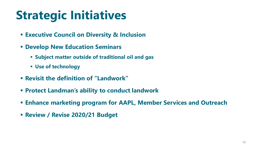## **Strategic Initiatives**

- **Executive Council on Diversity & Inclusion**
- **Develop New Education Seminars**
	- **Subject matter outside of traditional oil and gas**
	- **Use of technology**
- **Revisit the definition of "Landwork"**
- **Protect Landman's ability to conduct landwork**
- **Enhance marketing program for AAPL, Member Services and Outreach**
- **Review / Revise 2020/21 Budget**